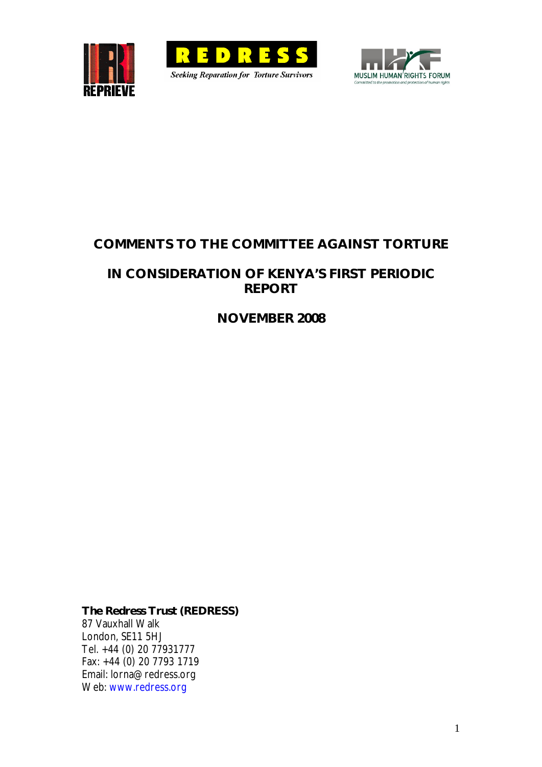





# **COMMENTS TO THE COMMITTEE AGAINST TORTURE**

## **IN CONSIDERATION OF KENYA'S FIRST PERIODIC REPORT**

**NOVEMBER 2008**

**The Redress Trust (REDRESS)** 87 Vauxhall Walk London, SE11 5HJ Tel. +44 (0) 20 77931777 Fax: +44 (0) 20 7793 1719 Email: lorna@redress.org Web: www.redress.org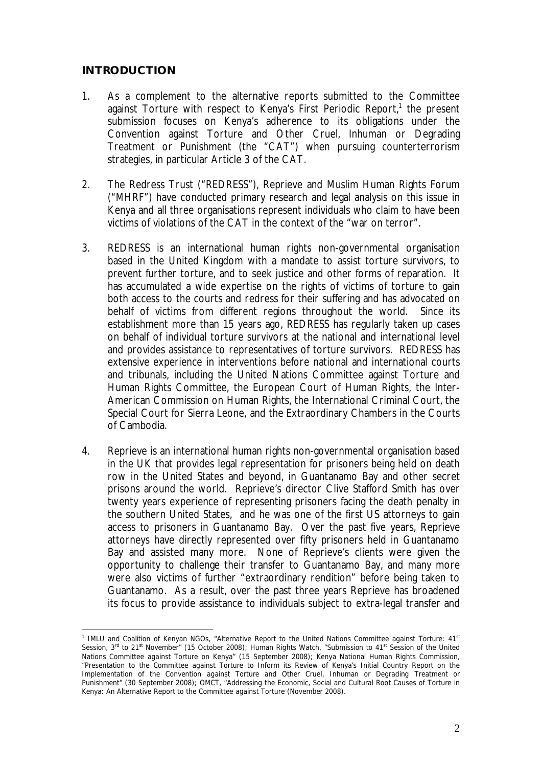#### **INTRODUCTION**

- 1. As a complement to the alternative reports submitted to the Committee against Torture with respect to Kenya's First Periodic Report,<sup>1</sup> the present submission focuses on Kenya's adherence to its obligations under the Convention against Torture and Other Cruel, Inhuman or Degrading Treatment or Punishment (the "CAT") when pursuing counterterrorism strategies, in particular Article 3 of the CAT.
- 2. The Redress Trust ("REDRESS"), Reprieve and Muslim Human Rights Forum ("MHRF") have conducted primary research and legal analysis on this issue in Kenya and all three organisations represent individuals who claim to have been victims of violations of the CAT in the context of the "war on terror".
- 3. REDRESS is an international human rights non-governmental organisation based in the United Kingdom with a mandate to assist torture survivors, to prevent further torture, and to seek justice and other forms of reparation. It has accumulated a wide expertise on the rights of victims of torture to gain both access to the courts and redress for their suffering and has advocated on behalf of victims from different regions throughout the world. Since its establishment more than 15 years ago, REDRESS has regularly taken up cases on behalf of individual torture survivors at the national and international level and provides assistance to representatives of torture survivors. REDRESS has extensive experience in interventions before national and international courts and tribunals, including the United Nations Committee against Torture and Human Rights Committee, the European Court of Human Rights, the Inter-American Commission on Human Rights, the International Criminal Court, the Special Court for Sierra Leone, and the Extraordinary Chambers in the Courts of Cambodia.
- 4. Reprieve is an international human rights non-governmental organisation based in the UK that provides legal representation for prisoners being held on death row in the United States and beyond, in Guantanamo Bay and other secret prisons around the world. Reprieve's director Clive Stafford Smith has over twenty years experience of representing prisoners facing the death penalty in the southern United States, and he was one of the first US attorneys to gain access to prisoners in Guantanamo Bay. Over the past five years, Reprieve attorneys have directly represented over fifty prisoners held in Guantanamo Bay and assisted many more. None of Reprieve's clients were given the opportunity to challenge their transfer to Guantanamo Bay, and many more were also victims of further "extraordinary rendition" before being taken to Guantanamo. As a result, over the past three years Reprieve has broadened its focus to provide assistance to individuals subject to extra-legal transfer and

<sup>&</sup>lt;u>.</u> <sup>1</sup> IMLU and Coalition of Kenyan NGOs, "Alternative Report to the United Nations Committee against Torture: 41<sup>st</sup> Session, 3<sup>rd</sup> to 21<sup>st</sup> November" (15 October 2008); Human Rights Watch, "Submission to 41<sup>st</sup> Session of the United Nations Committee against Torture on Kenya" (15 September 2008); Kenya National Human Rights Commission, "Presentation to the Committee against Torture to Inform its Review of Kenya's Initial Country Report on the Implementation of the Convention against Torture and Other Cruel, Inhuman or Degrading Treatment or Punishment" (30 September 2008); OMCT, "Addressing the Economic, Social and Cultural Root Causes of Torture in Kenya: An Alternative Report to the Committee against Torture (November 2008).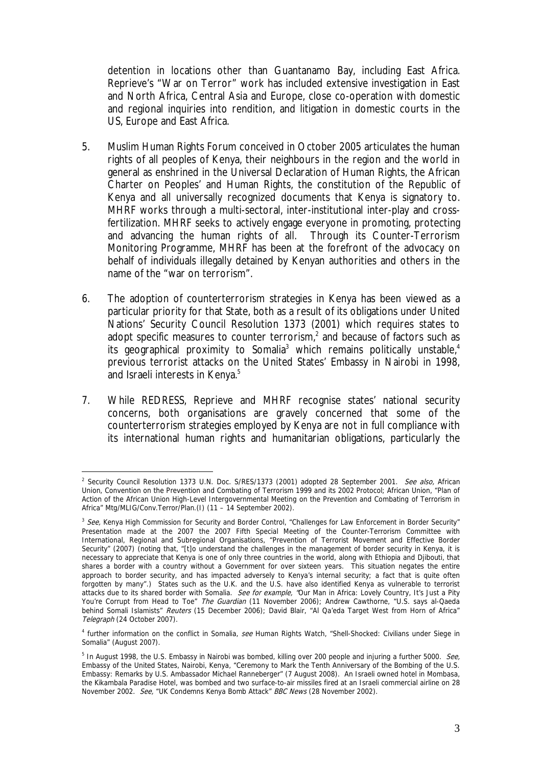detention in locations other than Guantanamo Bay, including East Africa. Reprieve's "War on Terror" work has included extensive investigation in East and North Africa, Central Asia and Europe, close co-operation with domestic and regional inquiries into rendition, and litigation in domestic courts in the US, Europe and East Africa.

- 5. Muslim Human Rights Forum conceived in October 2005 articulates the human rights of all peoples of Kenya, their neighbours in the region and the world in general as enshrined in the Universal Declaration of Human Rights, the African Charter on Peoples' and Human Rights, the constitution of the Republic of Kenya and all universally recognized documents that Kenya is signatory to. MHRF works through a multi-sectoral, inter-institutional inter-play and crossfertilization. MHRF seeks to actively engage everyone in promoting, protecting and advancing the human rights of all. Through its Counter-Terrorism Monitoring Programme, MHRF has been at the forefront of the advocacy on behalf of individuals illegally detained by Kenyan authorities and others in the name of the "war on terrorism".
- 6. The adoption of counterterrorism strategies in Kenya has been viewed as a particular priority for that State, both as a result of its obligations under United Nations' Security Council Resolution 1373 (2001) which requires states to adopt specific measures to counter terrorism,<sup>2</sup> and because of factors such as its geographical proximity to Somalia<sup>3</sup> which remains politically unstable,<sup>4</sup> previous terrorist attacks on the United States' Embassy in Nairobi in 1998, and Israeli interests in Kenya.<sup>5</sup>
- 7. While REDRESS, Reprieve and MHRF recognise states' national security concerns, both organisations are gravely concerned that some of the counterterrorism strategies employed by Kenya are not in full compliance with its international human rights and humanitarian obligations, particularly the

<sup>1</sup> <sup>2</sup> Security Council Resolution 1373 U.N. Doc. S/RES/1373 (2001) adopted 28 September 2001. See also, African Union, Convention on the Prevention and Combating of Terrorism 1999 and its 2002 Protocol; African Union, "Plan of Action of the African Union High-Level Intergovernmental Meeting on the Prevention and Combating of Terrorism in Africa" Mtg/MLIG/Conv.Terror/Plan.(I) (11 – 14 September 2002).

<sup>&</sup>lt;sup>3</sup> See, Kenya High Commission for Security and Border Control, "Challenges for Law Enforcement in Border Security" Presentation made at the 2007 the 2007 Fifth Special Meeting of the Counter-Terrorism Committee with International, Regional and Subregional Organisations, "Prevention of Terrorist Movement and Effective Border Security" (2007) (noting that, "[t]o understand the challenges in the management of border security in Kenya, it is necessary to appreciate that Kenya is one of only three countries in the world, along with Ethiopia and Djibouti, that shares a border with a country without a Government for over sixteen years. This situation negates the entire approach to border security, and has impacted adversely to Kenya's internal security; a fact that is quite often forgotten by many".) States such as the U.K. and the U.S. have also identified Kenya as vulnerable to terrorist attacks due to its shared border with Somalia. See for example, "Our Man in Africa: Lovely Country, It's Just a Pity You're Corrupt from Head to Toe" The Guardian (11 November 2006); Andrew Cawthorne, "U.S. says al-Qaeda behind Somali Islamists" Reuters (15 December 2006); David Blair, "Al Qa'eda Target West from Horn of Africa" Telegraph (24 October 2007).

<sup>&</sup>lt;sup>4</sup> further information on the conflict in Somalia, see Human Rights Watch, "Shell-Shocked: Civilians under Siege in Somalia" (August 2007).

<sup>&</sup>lt;sup>5</sup> In August 1998, the U.S. Embassy in Nairobi was bombed, killing over 200 people and injuring a further 5000. See, Embassy of the United States, Nairobi, Kenya, "Ceremony to Mark the Tenth Anniversary of the Bombing of the U.S. Embassy: Remarks by U.S. Ambassador Michael Ranneberger" (7 August 2008). An Israeli owned hotel in Mombasa, the Kikambala Paradise Hotel, was bombed and two surface-to-air missiles fired at an Israeli commercial airline on 28 November 2002. See, "UK Condemns Kenya Bomb Attack" BBC News (28 November 2002).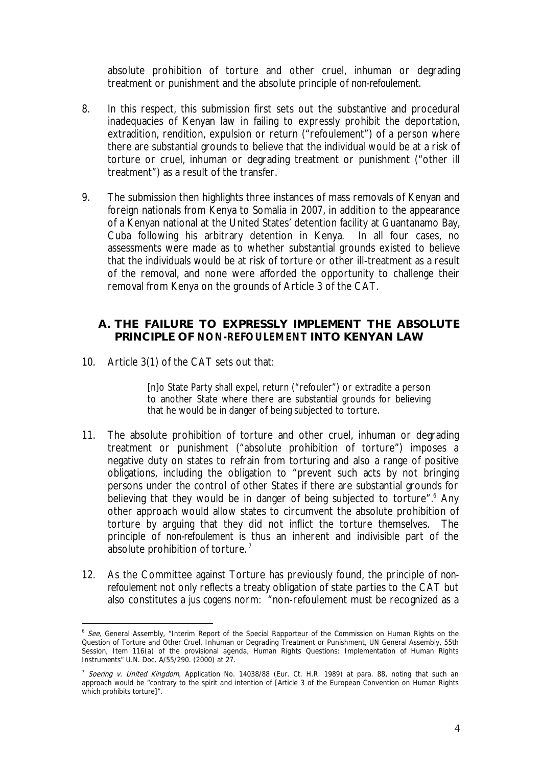absolute prohibition of torture and other cruel, inhuman or degrading treatment or punishment and the absolute principle of *non-refoulement.*

- 8. In this respect, this submission first sets out the substantive and procedural inadequacies of Kenyan law in failing to expressly prohibit the deportation, extradition, rendition, expulsion or return ("refoulement") of a person where there are substantial grounds to believe that the individual would be at a risk of torture or cruel, inhuman or degrading treatment or punishment ("other ill treatment") as a result of the transfer.
- 9. The submission then highlights three instances of mass removals of Kenyan and foreign nationals from Kenya to Somalia in 2007, in addition to the appearance of a Kenyan national at the United States' detention facility at Guantanamo Bay, Cuba following his arbitrary detention in Kenya. In all four cases, no assessments were made as to whether substantial grounds existed to believe that the individuals would be at risk of torture or other ill-treatment as a result of the removal, and none were afforded the opportunity to challenge their removal from Kenya on the grounds of Article 3 of the CAT.
	- **A. THE FAILURE TO EXPRESSLY IMPLEMENT THE ABSOLUTE PRINCIPLE OF** *NON-REFOULEMENT* **INTO KENYAN LAW**
- 10. Article 3(1) of the CAT sets out that:

<u>.</u>

[n]o State Party shall expel, return ("refouler") or extradite a person to another State where there are substantial grounds for believing that he would be in danger of being subjected to torture.

- 11. The absolute prohibition of torture and other cruel, inhuman or degrading treatment or punishment ("absolute prohibition of torture") imposes a negative duty on states to refrain from torturing and also a range of positive obligations, including the obligation to "prevent such acts by not bringing persons under the control of other States if there are substantial grounds for believing that they would be in danger of being subjected to torture".<sup>6</sup> Any other approach would allow states to circumvent the absolute prohibition of torture by arguing that they did not inflict the torture themselves. The principle of *non-refoulement* is thus an inherent and indivisible part of the absolute prohibition of torture.<sup>7</sup>
- 12. As the Committee against Torture has previously found, the principle of *nonrefoulement* not only reflects a treaty obligation of state parties to the CAT but also constitutes a *jus cogens* norm: "non-refoulement must be recognized as a

<sup>&</sup>lt;sup>6</sup> See, General Assembly, "Interim Report of the Special Rapporteur of the Commission on Human Rights on the Question of Torture and Other Cruel, Inhuman or Degrading Treatment or Punishment, UN General Assembly, 55th Session, Item 116(a) of the provisional agenda, Human Rights Questions: Implementation of Human Rights Instruments" U.N. Doc. A/55/290. (2000) at 27.

<sup>&</sup>lt;sup>7</sup> Soering v. United Kingdom, Application No. 14038/88 (Eur. Ct. H.R. 1989) at para. 88, noting that such an approach would be "contrary to the spirit and intention of [Article 3 of the European Convention on Human Rights which prohibits torture]".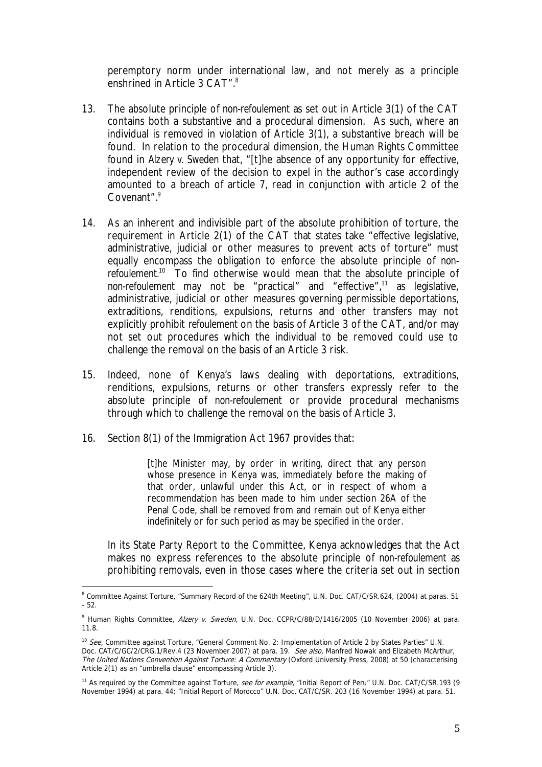peremptory norm under international law, and not merely as a principle enshrined in Article 3 CAT".<sup>8</sup>

- 13. The absolute principle of *non-refoulement* as set out in Article 3(1) of the CAT contains both a substantive and a procedural dimension. As such, where an individual is removed in violation of Article 3(1), a substantive breach will be found. In relation to the procedural dimension, the Human Rights Committee found in *Alzery v. Sweden* that, "[t]he absence of any opportunity for effective, independent review of the decision to expel in the author's case accordingly amounted to a breach of article 7, read in conjunction with article 2 of the Covenant".9
- 14. As an inherent and indivisible part of the absolute prohibition of torture, the requirement in Article 2(1) of the CAT that states take "effective legislative, administrative, judicial or other measures to prevent acts of torture" must equally encompass the obligation to enforce the absolute principle of *nonrefoulement.*<sup>10</sup>To find otherwise would mean that the absolute principle of *non-refoulement* may not be "practical" and "effective",11 as legislative, administrative, judicial or other measures governing permissible deportations, extraditions, renditions, expulsions, returns and other transfers may not explicitly prohibit *refoulement* on the basis of Article 3 of the CAT, and/or may not set out procedures which the individual to be removed could use to challenge the removal on the basis of an Article 3 risk.
- 15. Indeed, none of Kenya's laws dealing with deportations, extraditions, renditions, expulsions, returns or other transfers expressly refer to the absolute principle of *non-refoulement* or provide procedural mechanisms through which to challenge the removal on the basis of Article 3.
- 16. Section 8(1) of the Immigration Act 1967 provides that:

1

[t]he Minister may, by order in writing, direct that any person whose presence in Kenya was, immediately before the making of that order, unlawful under this Act, or in respect of whom a recommendation has been made to him under section 26A of the Penal Code, shall be removed from and remain out of Kenya either indefinitely or for such period as may be specified in the order.

In its State Party Report to the Committee, Kenya acknowledges that the Act makes no express references to the absolute principle of *non-refoulement* as prohibiting removals, even in those cases where the criteria set out in section

<sup>&</sup>lt;sup>8</sup> Committee Against Torture, "Summary Record of the 624th Meeting", U.N. Doc. CAT/C/SR.624, (2004) at paras. 51 - 52.

<sup>&</sup>lt;sup>9</sup> Human Rights Committee, Alzery v. Sweden, U.N. Doc. CCPR/C/88/D/1416/2005 (10 November 2006) at para. 11.8.

<sup>&</sup>lt;sup>10</sup> See, Committee against Torture, "General Comment No. 2: Implementation of Article 2 by States Parties" U.N. Doc. CAT/C/GC/2/CRG.1/Rev.4 (23 November 2007) at para. 19. See also, Manfred Nowak and Elizabeth McArthur, The United Nations Convention Against Torture: A Commentary (Oxford University Press, 2008) at 50 (characterising Article 2(1) as an "umbrella clause" encompassing Article 3).

<sup>&</sup>lt;sup>11</sup> As required by the Committee against Torture, *see for example*, "Initial Report of Peru" U.N. Doc. CAT/C/SR.193 (9 November 1994) at para. 44; "Initial Report of Morocco" U.N. Doc. CAT/C/SR. 203 (16 November 1994) at para. 51.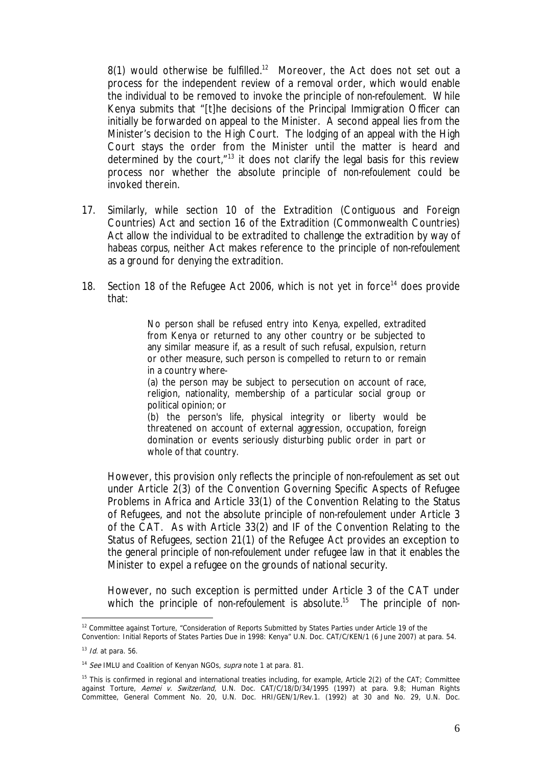8(1) would otherwise be fulfilled.<sup>12</sup> Moreover, the Act does not set out a process for the independent review of a removal order, which would enable the individual to be removed to invoke the principle of *non-refoulement.* While Kenya submits that "[t]he decisions of the Principal Immigration Officer can initially be forwarded on appeal to the Minister. A second appeal lies from the Minister's decision to the High Court. The lodging of an appeal with the High Court stays the order from the Minister until the matter is heard and determined by the court, $n_{13}$  it does not clarify the legal basis for this review process nor whether the absolute principle of *non-refoulement* could be invoked therein.

- 17. Similarly, while section 10 of the Extradition (Contiguous and Foreign Countries) Act and section 16 of the Extradition (Commonwealth Countries) Act allow the individual to be extradited to challenge the extradition by way of *habeas corpus,* neither Act makes reference to the principle of *non-refoulement* as a ground for denying the extradition.
- 18. Section 18 of the Refugee Act 2006, which is not yet in force<sup>14</sup> does provide that:

No person shall be refused entry into Kenya, expelled, extradited from Kenya or returned to any other country or be subjected to any similar measure if, as a result of such refusal, expulsion, return or other measure, such person is compelled to return to or remain in a country where-

(a) the person may be subject to persecution on account of race, religion, nationality, membership of a particular social group or political opinion; or

(b) the person's life, physical integrity or liberty would be threatened on account of external aggression, occupation, foreign domination or events seriously disturbing public order in part or whole of that country.

However, this provision only reflects the principle of *non-refoulement* as set out under Article 2(3) of the Convention Governing Specific Aspects of Refugee Problems in Africa and Article 33(1) of the Convention Relating to the Status of Refugees, and not the absolute principle of *non-refoulement* under Article 3 of the CAT. As with Article 33(2) and IF of the Convention Relating to the Status of Refugees, section 21(1) of the Refugee Act provides an exception to the general principle of *non-refoulement* under refugee law in that it enables the Minister to expel a refugee on the grounds of national security.

However, no such exception is permitted under Article 3 of the CAT under which the principle of non-refoulement is absolute.<sup>15</sup> The principle of non-

<sup>&</sup>lt;u>.</u> <sup>12</sup> Committee against Torture, "Consideration of Reports Submitted by States Parties under Article 19 of the

Convention: Initial Reports of States Parties Due in 1998: Kenya" U.N. Doc. CAT/C/KEN/1 (6 June 2007) at para. 54.  $13$  *Id.* at para. 56.

<sup>&</sup>lt;sup>14</sup> See IMLU and Coalition of Kenyan NGOs, supra note 1 at para. 81.

<sup>&</sup>lt;sup>15</sup> This is confirmed in regional and international treaties including, for example, Article  $2(2)$  of the CAT; Committee against Torture, Aemei v. Switzerland, U.N. Doc. CAT/C/18/D/34/1995 (1997) at para. 9.8; Human Rights Committee, General Comment No. 20, U.N. Doc. HRI/GEN/1/Rev.1. (1992) at 30 and No. 29, U.N. Doc.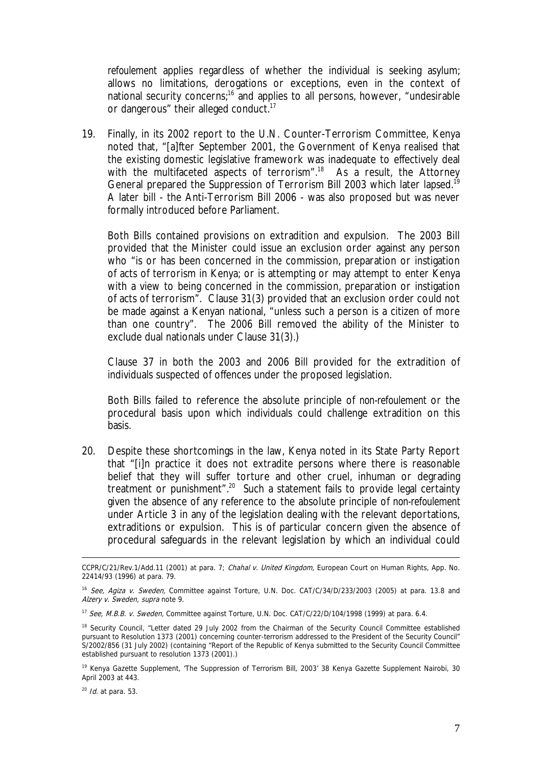*refoulement* applies regardless of whether the individual is seeking asylum; allows no limitations, derogations or exceptions, even in the context of national security concerns;<sup>16</sup> and applies to all persons, however, "undesirable or dangerous" their alleged conduct.<sup>17</sup>

19. Finally, in its 2002 report to the U.N. Counter-Terrorism Committee, Kenya noted that, "[a]fter September 2001, the Government of Kenya realised that the existing domestic legislative framework was inadequate to effectively deal with the multifaceted aspects of terrorism".<sup>18</sup> As a result, the Attorney General prepared the Suppression of Terrorism Bill 2003 which later lapsed.<sup>19</sup> A later bill - the Anti-Terrorism Bill 2006 - was also proposed but was never formally introduced before Parliament.

Both Bills contained provisions on extradition and expulsion. The 2003 Bill provided that the Minister could issue an exclusion order against any person who "is or has been concerned in the commission, preparation or instigation of acts of terrorism in Kenya; or is attempting or may attempt to enter Kenya with a view to being concerned in the commission, preparation or instigation of acts of terrorism". Clause 31(3) provided that an exclusion order could not be made against a Kenyan national, "unless such a person is a citizen of more than one country". The 2006 Bill removed the ability of the Minister to exclude dual nationals under Clause 31(3).)

Clause 37 in both the 2003 and 2006 Bill provided for the extradition of individuals suspected of offences under the proposed legislation.

Both Bills failed to reference the absolute principle of *non-refoulement* or the procedural basis upon which individuals could challenge extradition on this basis.

20. Despite these shortcomings in the law, Kenya noted in its State Party Report that "[i]n practice it does not extradite persons where there is reasonable belief that they will suffer torture and other cruel, inhuman or degrading treatment or punishment".<sup>20</sup> Such a statement fails to provide legal certainty given the absence of any reference to the absolute principle of *non-refoulement*  under Article 3 in any of the legislation dealing with the relevant deportations, extraditions or expulsion. This is of particular concern given the absence of procedural safeguards in the relevant legislation by which an individual could

CCPR/C/21/Rev.1/Add.11 (2001) at para. 7; Chahal v. United Kingdom, European Court on Human Rights, App. No. 22414/93 (1996) at para. 79.

<sup>&</sup>lt;sup>16</sup> See, Agiza v. Sweden, Committee against Torture, U.N. Doc. CAT/C/34/D/233/2003 (2005) at para. 13.8 and Alzery v. Sweden, supra note 9.

<sup>&</sup>lt;sup>17</sup> See, M.B.B. v. Sweden, Committee against Torture, U.N. Doc. CAT/C/22/D/104/1998 (1999) at para. 6.4.

<sup>&</sup>lt;sup>18</sup> Security Council, "Letter dated 29 July 2002 from the Chairman of the Security Council Committee established pursuant to Resolution 1373 (2001) concerning counter-terrorism addressed to the President of the Security Council" S/2002/856 (31 July 2002) (containing "Report of the Republic of Kenya submitted to the Security Council Committee established pursuant to resolution 1373 (2001).)

<sup>&</sup>lt;sup>19</sup> Kenya Gazette Supplement, 'The Suppression of Terrorism Bill, 2003' 38 Kenya Gazette Supplement Nairobi, 30 April 2003 at 443.

 $20$  *Id.* at para. 53.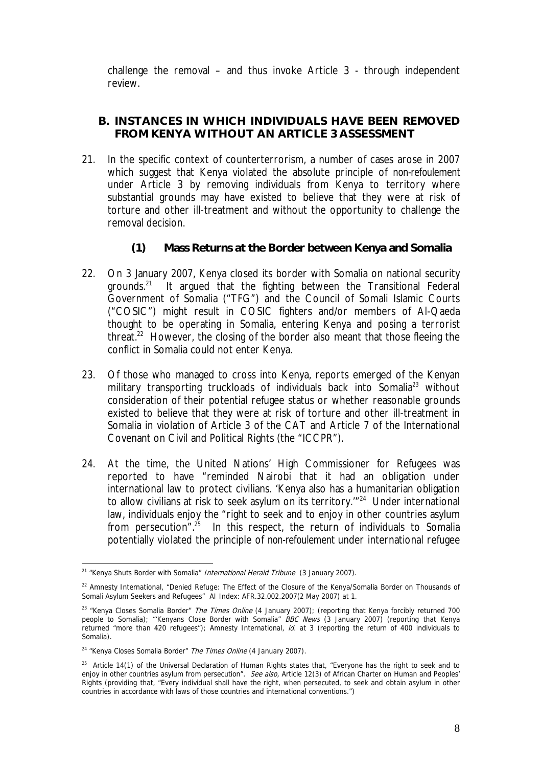challenge the removal – and thus invoke Article 3 - through independent review.

#### **B. INSTANCES IN WHICH INDIVIDUALS HAVE BEEN REMOVED FROM KENYA WITHOUT AN ARTICLE 3 ASSESSMENT**

- 21. In the specific context of counterterrorism, a number of cases arose in 2007 which suggest that Kenya violated the absolute principle of *non-refoulement*  under Article 3 by removing individuals from Kenya to territory where substantial grounds may have existed to believe that they were at risk of torture and other ill-treatment and without the opportunity to challenge the removal decision.
	- **(1) Mass Returns at the Border between Kenya and Somalia**
- 22. On 3 January 2007, Kenya closed its border with Somalia on national security grounds.21 It argued that the fighting between the Transitional Federal Government of Somalia ("TFG") and the Council of Somali Islamic Courts ("COSIC") might result in COSIC fighters and/or members of Al-Qaeda thought to be operating in Somalia, entering Kenya and posing a terrorist threat.<sup>22</sup> However, the closing of the border also meant that those fleeing the conflict in Somalia could not enter Kenya.
- 23. Of those who managed to cross into Kenya, reports emerged of the Kenyan military transporting truckloads of individuals back into Somalia<sup>23</sup> without consideration of their potential refugee status or whether reasonable grounds existed to believe that they were at risk of torture and other ill-treatment in Somalia in violation of Article 3 of the CAT and Article 7 of the International Covenant on Civil and Political Rights (the "ICCPR").
- 24. At the time, the United Nations' High Commissioner for Refugees was reported to have "reminded Nairobi that it had an obligation under international law to protect civilians. 'Kenya also has a humanitarian obligation to allow civilians at risk to seek asylum on its territory.<sup>1724</sup> Under international law, individuals enjoy the "right to seek and to enjoy in other countries asylum from persecution".<sup>25</sup> In this respect, the return of individuals to Somalia potentially violated the principle of *non-refoulement* under international refugee

<sup>&</sup>lt;sup>21</sup> "Kenya Shuts Border with Somalia" *International Herald Tribune* (3 January 2007).

<sup>&</sup>lt;sup>22</sup> Amnesty International, "Denied Refuge: The Effect of the Closure of the Kenya/Somalia Border on Thousands of Somali Asylum Seekers and Refugees" AI Index: AFR.32.002.2007(2 May 2007) at 1.

<sup>&</sup>lt;sup>23</sup> "Kenya Closes Somalia Border" The Times Online (4 January 2007); (reporting that Kenya forcibly returned 700 people to Somalia); "'Kenyans Close Border with Somalia" BBC News (3 January 2007) (reporting that Kenya returned "more than 420 refugees"); Amnesty International, id. at 3 (reporting the return of 400 individuals to Somalia).

<sup>&</sup>lt;sup>24</sup> "Kenya Closes Somalia Border" The Times Online (4 January 2007).

 $25$  Article 14(1) of the Universal Declaration of Human Rights states that, "Everyone has the right to seek and to enjoy in other countries asylum from persecution". See also, Article 12(3) of African Charter on Human and Peoples' Rights (providing that, "Every individual shall have the right, when persecuted, to seek and obtain asylum in other countries in accordance with laws of those countries and international conventions.")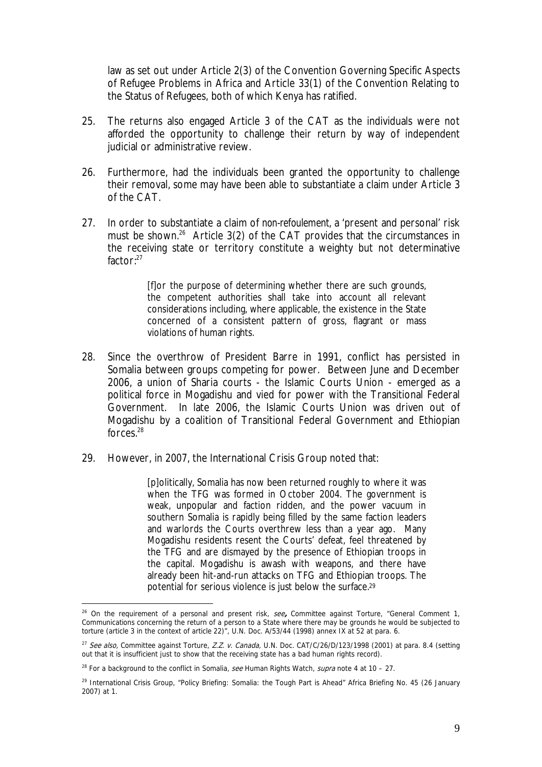law as set out under Article 2(3) of the Convention Governing Specific Aspects of Refugee Problems in Africa and Article 33(1) of the Convention Relating to the Status of Refugees, both of which Kenya has ratified.

- 25. The returns also engaged Article 3 of the CAT as the individuals were not afforded the opportunity to challenge their return by way of independent judicial or administrative review.
- 26. Furthermore, had the individuals been granted the opportunity to challenge their removal, some may have been able to substantiate a claim under Article 3 of the CAT.
- 27. In order to substantiate a claim of *non-refoulement,* a 'present and personal' risk must be shown.<sup>26</sup> Article 3(2) of the CAT provides that the circumstances in the receiving state or territory constitute a weighty but not determinative factor:27

[f]or the purpose of determining whether there are such grounds, the competent authorities shall take into account all relevant considerations including, where applicable, the existence in the State concerned of a consistent pattern of gross, flagrant or mass violations of human rights.

- 28. Since the overthrow of President Barre in 1991, conflict has persisted in Somalia between groups competing for power. Between June and December 2006, a union of Sharia courts - the Islamic Courts Union - emerged as a political force in Mogadishu and vied for power with the Transitional Federal Government. In late 2006, the Islamic Courts Union was driven out of Mogadishu by a coalition of Transitional Federal Government and Ethiopian forces.28
- 29. However, in 2007, the International Crisis Group noted that:

[p]olitically, Somalia has now been returned roughly to where it was when the TFG was formed in October 2004. The government is weak, unpopular and faction ridden, and the power vacuum in southern Somalia is rapidly being filled by the same faction leaders and warlords the Courts overthrew less than a year ago. Many Mogadishu residents resent the Courts' defeat, feel threatened by the TFG and are dismayed by the presence of Ethiopian troops in the capital. Mogadishu is awash with weapons, and there have already been hit-and-run attacks on TFG and Ethiopian troops. The potential for serious violence is just below the surface.29

<sup>&</sup>lt;sup>26</sup> On the requirement of a personal and present risk, see, Committee against Torture, "General Comment 1, Communications concerning the return of a person to a State where there may be grounds he would be subjected to torture (article 3 in the context of article 22)", U.N. Doc. A/53/44 (1998) annex IX at 52 at para. 6.

<sup>&</sup>lt;sup>27</sup> See also, Committee against Torture, Z.Z. v. Canada, U.N. Doc. CAT/C/26/D/123/1998 (2001) at para. 8.4 (setting out that it is insufficient just to show that the receiving state has a bad human rights record).

<sup>&</sup>lt;sup>28</sup> For a background to the conflict in Somalia, see Human Rights Watch, supra note 4 at 10 - 27.

 $^{29}$  International Crisis Group, "Policy Briefing: Somalia: the Tough Part is Ahead" Africa Briefing No. 45 (26 January 2007) at 1.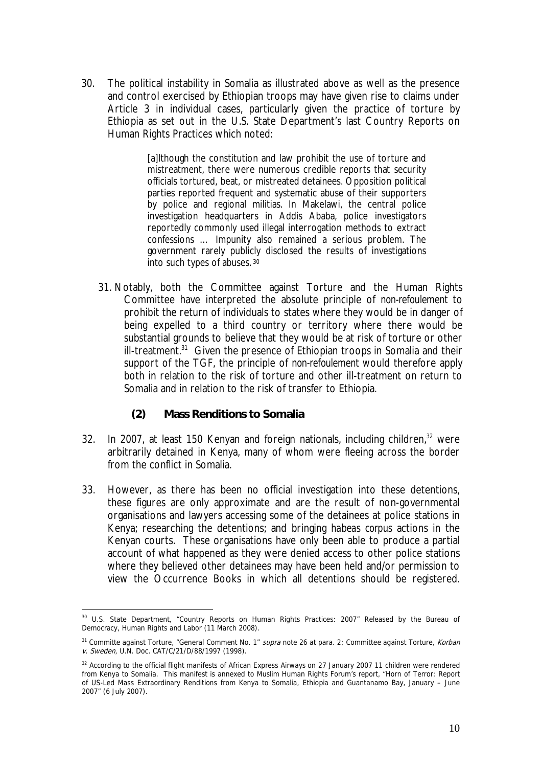30. The political instability in Somalia as illustrated above as well as the presence and control exercised by Ethiopian troops may have given rise to claims under Article 3 in individual cases, particularly given the practice of torture by Ethiopia as set out in the U.S. State Department's last Country Reports on Human Rights Practices which noted:

> [a]lthough the constitution and law prohibit the use of torture and mistreatment, there were numerous credible reports that security officials tortured, beat, or mistreated detainees. Opposition political parties reported frequent and systematic abuse of their supporters by police and regional militias. In Makelawi, the central police investigation headquarters in Addis Ababa, police investigators reportedly commonly used illegal interrogation methods to extract confessions … Impunity also remained a serious problem. The government rarely publicly disclosed the results of investigations into such types of abuses. <sup>30</sup>

- 31. Notably, both the Committee against Torture and the Human Rights Committee have interpreted the absolute principle of *non-refoulement* to prohibit the return of individuals to states where they would be in danger of being expelled to a third country or territory where there would be substantial grounds to believe that they would be at risk of torture or other ill-treatment.<sup>31</sup> Given the presence of Ethiopian troops in Somalia and their support of the TGF, the principle of *non-refoulement* would therefore apply both in relation to the risk of torture and other ill-treatment on return to Somalia and in relation to the risk of transfer to Ethiopia.
	- **(2) Mass Renditions to Somalia**
- 32. In 2007, at least 150 Kenyan and foreign nationals, including children, $32$  were arbitrarily detained in Kenya, many of whom were fleeing across the border from the conflict in Somalia.
- 33. However, as there has been no official investigation into these detentions, these figures are only approximate and are the result of non-governmental organisations and lawyers accessing some of the detainees at police stations in Kenya; researching the detentions; and bringing *habeas corpus* actions in the Kenyan courts. These organisations have only been able to produce a partial account of what happened as they were denied access to other police stations where they believed other detainees may have been held and/or permission to view the Occurrence Books in which all detentions should be registered.

<sup>&</sup>lt;u>.</u> 30 U.S. State Department, "Country Reports on Human Rights Practices: 2007" Released by the Bureau of Democracy, Human Rights and Labor (11 March 2008).

<sup>&</sup>lt;sup>31</sup> Committe against Torture, "General Comment No. 1" supra note 26 at para. 2; Committee against Torture, Korban v. Sweden, U.N. Doc. CAT/C/21/D/88/1997 (1998).

<sup>&</sup>lt;sup>32</sup> According to the official flight manifests of African Express Airways on 27 January 2007 11 children were rendered from Kenya to Somalia. This manifest is annexed to Muslim Human Rights Forum's report, "Horn of Terror: Report of US-Led Mass Extraordinary Renditions from Kenya to Somalia, Ethiopia and Guantanamo Bay, January – June 2007" (6 July 2007).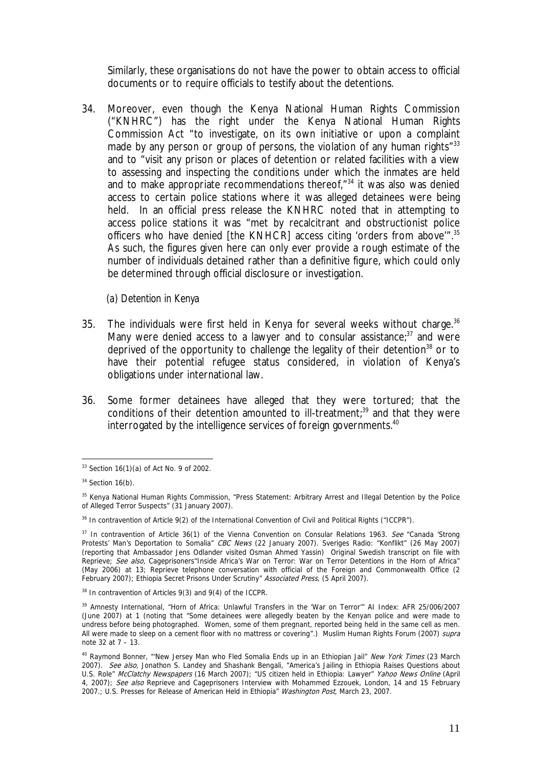Similarly, these organisations do not have the power to obtain access to official documents or to require officials to testify about the detentions.

34. Moreover, even though the Kenya National Human Rights Commission ("KNHRC") has the right under the Kenya National Human Rights Commission Act "to investigate, on its own initiative or upon a complaint made by any person or group of persons, the violation of any human rights<sup>"33</sup> and to "visit any prison or places of detention or related facilities with a view to assessing and inspecting the conditions under which the inmates are held and to make appropriate recommendations thereof,"34 it was also was denied access to certain police stations where it was alleged detainees were being held. In an official press release the KNHRC noted that in attempting to access police stations it was "met by recalcitrant and obstructionist police officers who have denied [the KNHCR] access citing 'orders from above'".<sup>35</sup> As such, the figures given here can only ever provide a rough estimate of the number of individuals detained rather than a definitive figure, which could only be determined through official disclosure or investigation.

*(a) Detention in Kenya*

- 35. The individuals were first held in Kenya for several weeks without charge.<sup>36</sup> Many were denied access to a lawyer and to consular assistance; $37$  and were deprived of the opportunity to challenge the legality of their detention<sup>38</sup> or to have their potential refugee status considered, in violation of Kenya's obligations under international law.
- 36. Some former detainees have alleged that they were tortured; that the conditions of their detention amounted to ill-treatment;<sup>39</sup> and that they were interrogated by the intelligence services of foreign governments.<sup>40</sup>

<sup>1</sup>  $33$  Section 16(1)(a) of Act No. 9 of 2002.

 $34$  Section 16(b).

<sup>&</sup>lt;sup>35</sup> Kenya National Human Rights Commission, "Press Statement: Arbitrary Arrest and Illegal Detention by the Police of Alleged Terror Suspects" (31 January 2007).

<sup>&</sup>lt;sup>36</sup> In contravention of Article 9(2) of the International Convention of Civil and Political Rights ("ICCPR").

 $37$  In contravention of Article 36(1) of the Vienna Convention on Consular Relations 1963. See "Canada 'Strong Protests' Man's Deportation to Somalia" CBC News (22 January 2007). Sveriges Radio: "Konflikt" (26 May 2007) (reporting that Ambassador Jens Odlander visited Osman Ahmed Yassin) Original Swedish transcript on file with Reprieve; See also, Cageprisoners"Inside Africa's War on Terror: War on Terror Detentions in the Horn of Africa" (May 2006) at 13; Reprieve telephone conversation with official of the Foreign and Commonwealth Office (2 February 2007); Ethiopia Secret Prisons Under Scrutiny" Associated Press, (5 April 2007).

<sup>&</sup>lt;sup>38</sup> In contravention of Articles 9(3) and 9(4) of the ICCPR.

<sup>39</sup> Amnesty International, "Horn of Africa: Unlawful Transfers in the 'War on Terror'" AI Index: AFR 25/006/2007 (June 2007) at 1 (noting that "Some detainees were allegedly beaten by the Kenyan police and were made to undress before being photographed. Women, some of them pregnant, reported being held in the same cell as men. All were made to sleep on a cement floor with no mattress or covering".) Muslim Human Rights Forum (2007) supra note 32 at 7 – 13.

<sup>&</sup>lt;sup>40</sup> Raymond Bonner, "New Jersey Man who Fled Somalia Ends up in an Ethiopian Jail" New York Times (23 March 2007). See also, Jonathon S. Landey and Shashank Bengali, "America's Jailing in Ethiopia Raises Questions about U.S. Role" McClatchy Newspapers (16 March 2007); "US citizen held in Ethiopia: Lawyer" Yahoo News Online (April 4, 2007); See also Reprieve and Cageprisoners Interview with Mohammed Ezzouek, London, 14 and 15 February 2007.; U.S. Presses for Release of American Held in Ethiopia" Washington Post, March 23, 2007.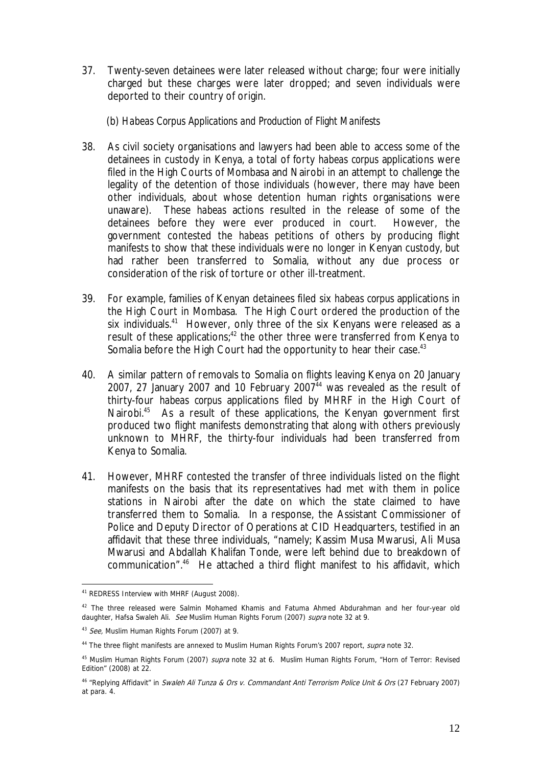- 37. Twenty-seven detainees were later released without charge; four were initially charged but these charges were later dropped; and seven individuals were deported to their country of origin.
	- (b) *Habeas Corpus Applications and Production of Flight Manifests*
- 38. As civil society organisations and lawyers had been able to access some of the detainees in custody in Kenya, a total of forty *habeas corpus* applications were filed in the High Courts of Mombasa and Nairobi in an attempt to challenge the legality of the detention of those individuals (however, there may have been other individuals, about whose detention human rights organisations were unaware). These *habeas* actions resulted in the release of some of the detainees before they were ever produced in court. However, the government contested the *habeas* petitions of others by producing flight manifests to show that these individuals were no longer in Kenyan custody, but had rather been transferred to Somalia, without any due process or consideration of the risk of torture or other ill-treatment*.*
- 39. For example, families of Kenyan detainees filed six *habeas corpus* applications in the High Court in Mombasa. The High Court ordered the production of the six individuals.<sup>41</sup> However, only three of the six Kenyans were released as a result of these applications;<sup>42</sup> the other three were transferred from Kenya to Somalia before the High Court had the opportunity to hear their case.<sup>43</sup>
- 40. A similar pattern of removals to Somalia on flights leaving Kenya on 20 January 2007, 27 January 2007 and 10 February 2007 $44$  was revealed as the result of thirty-four *habeas corpus* applications filed by MHRF in the High Court of Nairobi.<sup>45</sup> As a result of these applications, the Kenyan government first produced two flight manifests demonstrating that along with others previously unknown to MHRF, the thirty-four individuals had been transferred from Kenya to Somalia.
- 41. However, MHRF contested the transfer of three individuals listed on the flight manifests on the basis that its representatives had met with them in police stations in Nairobi after the date on which the state claimed to have transferred them to Somalia. In a response, the Assistant Commissioner of Police and Deputy Director of Operations at CID Headquarters, testified in an affidavit that these three individuals, "namely; Kassim Musa Mwarusi, Ali Musa Mwarusi and Abdallah Khalifan Tonde, were left behind due to breakdown of communication".46 He attached a third flight manifest to his affidavit, which

<sup>1</sup> 41 REDRESS Interview with MHRF (August 2008).

<sup>&</sup>lt;sup>42</sup> The three released were Salmin Mohamed Khamis and Fatuma Ahmed Abdurahman and her four-year old daughter, Hafsa Swaleh Ali. See Muslim Human Rights Forum (2007) supra note 32 at 9.

<sup>43</sup> See, Muslim Human Rights Forum (2007) at 9.

<sup>&</sup>lt;sup>44</sup> The three flight manifests are annexed to Muslim Human Rights Forum's 2007 report, *supra* note 32.

<sup>&</sup>lt;sup>45</sup> Muslim Human Rights Forum (2007) *supra* note 32 at 6. Muslim Human Rights Forum, "Horn of Terror: Revised Edition" (2008) at 22.

<sup>&</sup>lt;sup>46</sup> "Replying Affidavit" in Swaleh Ali Tunza & Ors v. Commandant Anti Terrorism Police Unit & Ors (27 February 2007) at para. 4.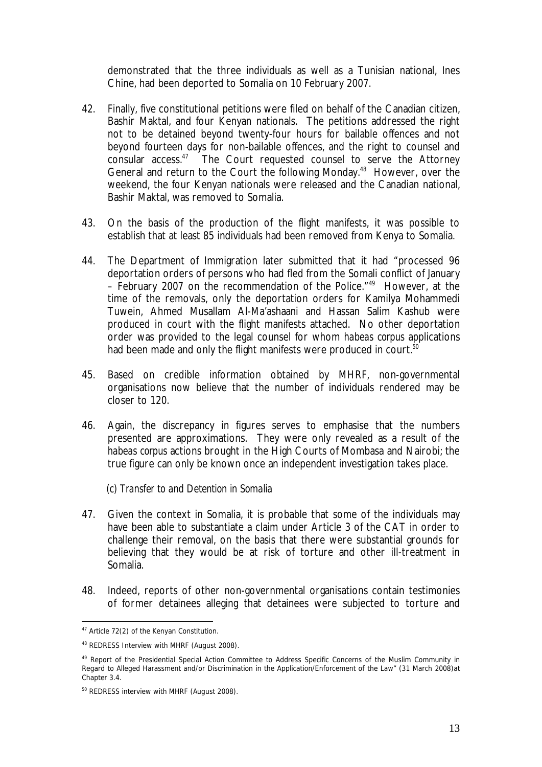demonstrated that the three individuals as well as a Tunisian national, Ines Chine, had been deported to Somalia on 10 February 2007.

- 42. Finally, five constitutional petitions were filed on behalf of the Canadian citizen, Bashir Maktal, and four Kenyan nationals. The petitions addressed the right not to be detained beyond twenty-four hours for bailable offences and not beyond fourteen days for non-bailable offences, and the right to counsel and consular access.47 The Court requested counsel to serve the Attorney General and return to the Court the following Monday.<sup>48</sup> However, over the weekend, the four Kenyan nationals were released and the Canadian national, Bashir Maktal, was removed to Somalia.
- 43. On the basis of the production of the flight manifests, it was possible to establish that at least 85 individuals had been removed from Kenya to Somalia.
- 44. The Department of Immigration later submitted that it had "processed 96 deportation orders of persons who had fled from the Somali conflict of January – February 2007 on the recommendation of the Police."49 However, at the time of the removals, only the deportation orders for Kamilya Mohammedi Tuwein, Ahmed Musallam Al-Ma'ashaani and Hassan Salim Kashub were produced in court with the flight manifests attached. No other deportation order was provided to the legal counsel for whom *habeas corpus* applications had been made and only the flight manifests were produced in court.<sup>50</sup>
- 45. Based on credible information obtained by MHRF, non-governmental organisations now believe that the number of individuals rendered may be closer to 120.
- 46. Again, the discrepancy in figures serves to emphasise that the numbers presented are approximations. They were only revealed as a result of the *habeas corpus* actions brought in the High Courts of Mombasa and Nairobi; the true figure can only be known once an independent investigation takes place.

*(c) Transfer to and Detention in Somalia*

- 47. Given the context in Somalia, it is probable that some of the individuals may have been able to substantiate a claim under Article 3 of the CAT in order to challenge their removal, on the basis that there were substantial grounds for believing that they would be at risk of torture and other ill-treatment in Somalia.
- 48. Indeed, reports of other non-governmental organisations contain testimonies of former detainees alleging that detainees were subjected to torture and

1

<sup>&</sup>lt;sup>47</sup> Article 72(2) of the Kenyan Constitution.

<sup>48</sup> REDRESS Interview with MHRF (August 2008).

<sup>&</sup>lt;sup>49</sup> Report of the Presidential Special Action Committee to Address Specific Concerns of the Muslim Community in Regard to Alleged Harassment and/or Discrimination in the Application/Enforcement of the Law" (31 March 2008)at Chapter 3.4.

<sup>&</sup>lt;sup>50</sup> REDRESS interview with MHRF (August 2008).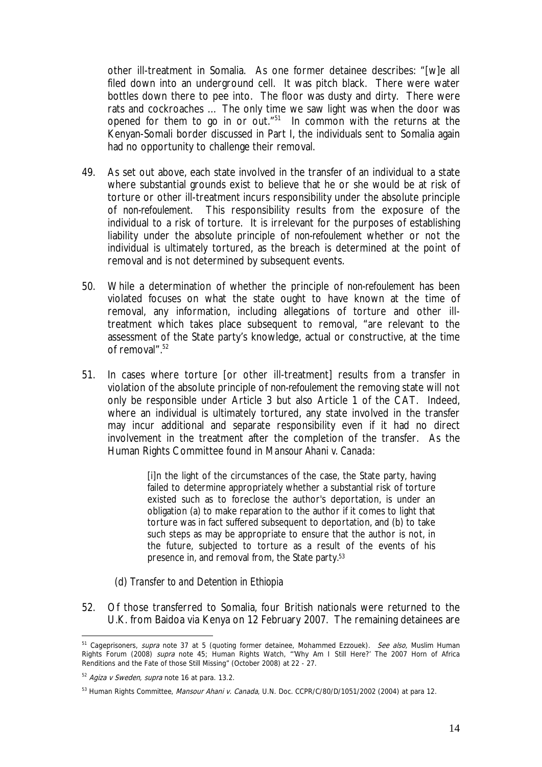other ill-treatment in Somalia. As one former detainee describes: "[w]e all filed down into an underground cell. It was pitch black. There were water bottles down there to pee into. The floor was dusty and dirty. There were rats and cockroaches … The only time we saw light was when the door was opened for them to go in or out. $151$  In common with the returns at the Kenyan-Somali border discussed in Part I, the individuals sent to Somalia again had no opportunity to challenge their removal.

- 49. As set out above, each state involved in the transfer of an individual to a state where substantial grounds exist to believe that he or she would be at risk of torture or other ill-treatment incurs responsibility under the absolute principle of *non-refoulement*. This responsibility results from the exposure of the individual to a risk of torture. It is irrelevant for the purposes of establishing liability under the absolute principle of *non-refoulement* whether or not the individual is ultimately tortured, as the breach is determined at the point of removal and is not determined by subsequent events.
- 50. While a determination of whether the principle of *non-refoulement* has been violated focuses on what the state ought to have known at the time of removal, any information, including allegations of torture and other illtreatment which takes place subsequent to removal, "are relevant to the assessment of the State party's knowledge, actual or constructive, at the time of removal".<sup>52</sup>
- 51. In cases where torture [or other ill-treatment] results from a transfer in violation of the absolute principle of *non-refoulement* the removing state will not only be responsible under Article 3 but also Article 1 of the CAT. Indeed, where an individual is ultimately tortured, any state involved in the transfer may incur additional and separate responsibility even if it had no direct involvement in the treatment after the completion of the transfer. As the Human Rights Committee found in *Mansour Ahani v. Canada*:

[i]n the light of the circumstances of the case, the State party, having failed to determine appropriately whether a substantial risk of torture existed such as to foreclose the author's deportation, is under an obligation (a) to make reparation to the author if it comes to light that torture was in fact suffered subsequent to deportation, and (b) to take such steps as may be appropriate to ensure that the author is not, in the future, subjected to torture as a result of the events of his presence in, and removal from, the State party.53

- (d) *Transfer to and Detention in Ethiopia*
- 52. Of those transferred to Somalia, four British nationals were returned to the U.K. from Baidoa via Kenya on 12 February 2007. The remaining detainees are

<sup>&</sup>lt;sup>51</sup> Cageprisoners, *supra* note 37 at 5 (quoting former detainee, Mohammed Ezzouek). *See also*, Muslim Human Rights Forum (2008) supra note 45; Human Rights Watch, "'Why Am I Still Here?' The 2007 Horn of Africa Renditions and the Fate of those Still Missing" (October 2008) at 22 - 27.

 $52$  Agiza v Sweden, supra note 16 at para. 13.2.

<sup>53</sup> Human Rights Committee, Mansour Ahani v. Canada, U.N. Doc. CCPR/C/80/D/1051/2002 (2004) at para 12.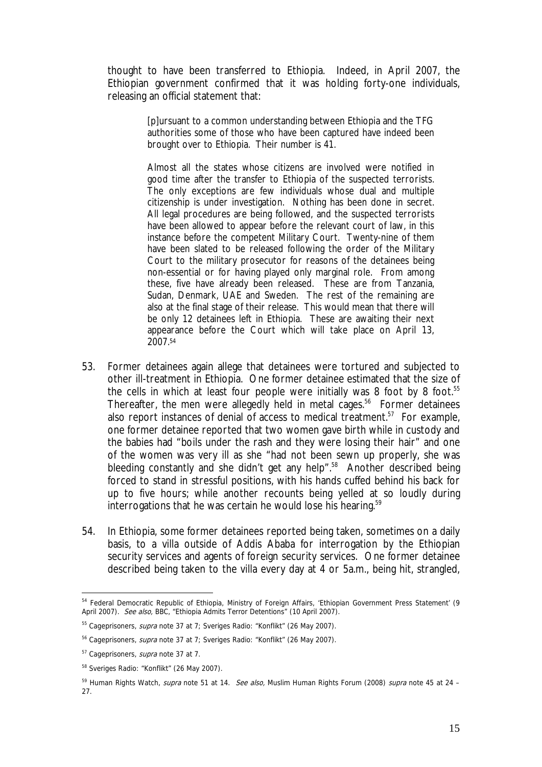thought to have been transferred to Ethiopia. Indeed, in April 2007, the Ethiopian government confirmed that it was holding forty-one individuals, releasing an official statement that:

> [p]ursuant to a common understanding between Ethiopia and the TFG authorities some of those who have been captured have indeed been brought over to Ethiopia. Their number is 41.

> Almost all the states whose citizens are involved were notified in good time after the transfer to Ethiopia of the suspected terrorists. The only exceptions are few individuals whose dual and multiple citizenship is under investigation. Nothing has been done in secret. All legal procedures are being followed, and the suspected terrorists have been allowed to appear before the relevant court of law, in this instance before the competent Military Court. Twenty-nine of them have been slated to be released following the order of the Military Court to the military prosecutor for reasons of the detainees being non-essential or for having played only marginal role. From among these, five have already been released. These are from Tanzania, Sudan, Denmark, UAE and Sweden. The rest of the remaining are also at the final stage of their release. This would mean that there will be only 12 detainees left in Ethiopia. These are awaiting their next appearance before the Court which will take place on April 13, 2007.54

- 53. Former detainees again allege that detainees were tortured and subjected to other ill-treatment in Ethiopia. One former detainee estimated that the size of the cells in which at least four people were initially was 8 foot by 8 foot.<sup>55</sup> Thereafter, the men were allegedly held in metal cages.<sup>56</sup> Former detainees also report instances of denial of access to medical treatment.<sup>57</sup> For example, one former detainee reported that two women gave birth while in custody and the babies had "boils under the rash and they were losing their hair" and one of the women was very ill as she "had not been sewn up properly, she was bleeding constantly and she didn't get any help".<sup>58</sup> Another described being forced to stand in stressful positions, with his hands cuffed behind his back for up to five hours; while another recounts being yelled at so loudly during interrogations that he was certain he would lose his hearing.<sup>59</sup>
- 54. In Ethiopia, some former detainees reported being taken, sometimes on a daily basis, to a villa outside of Addis Ababa for interrogation by the Ethiopian security services and agents of foreign security services. One former detainee described being taken to the villa every day at 4 or 5a.m., being hit, strangled,

<sup>54</sup> Federal Democratic Republic of Ethiopia, Ministry of Foreign Affairs, 'Ethiopian Government Press Statement' (9 April 2007). See also, BBC, "Ethiopia Admits Terror Detentions" (10 April 2007).

<sup>&</sup>lt;sup>55</sup> Cageprisoners, *supra* note 37 at 7; Sveriges Radio: "Konflikt" (26 May 2007).

 $56$  Cageprisoners, *supra* note 37 at 7; Sveriges Radio: "Konflikt" (26 May 2007).

<sup>&</sup>lt;sup>57</sup> Cageprisoners, *supra* note 37 at 7.

<sup>58</sup> Sveriges Radio: "Konflikt" (26 May 2007).

<sup>&</sup>lt;sup>59</sup> Human Rights Watch, *supra* note 51 at 14. See also, Muslim Human Rights Forum (2008) supra note 45 at 24 -27.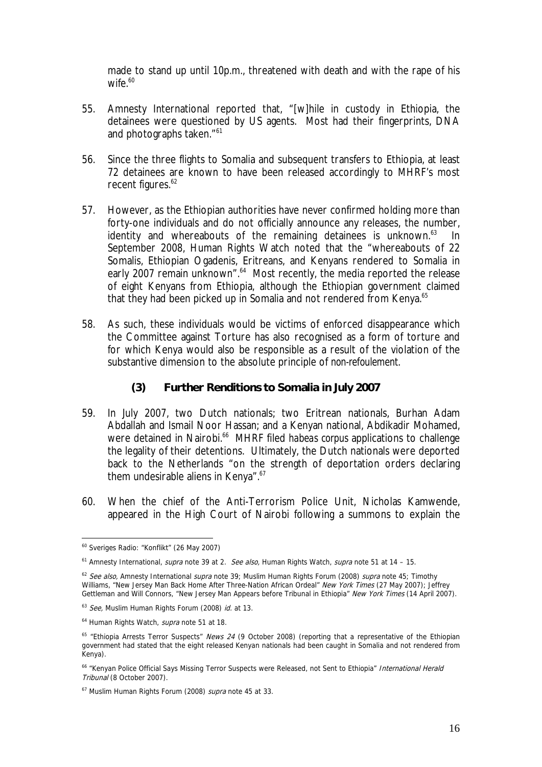made to stand up until 10p.m., threatened with death and with the rape of his wife. $60$ 

- 55. Amnesty International reported that, "[w]hile in custody in Ethiopia, the detainees were questioned by US agents. Most had their fingerprints, DNA and photographs taken."<sup>61</sup>
- 56. Since the three flights to Somalia and subsequent transfers to Ethiopia, at least 72 detainees are known to have been released accordingly to MHRF's most recent figures.<sup>62</sup>
- 57. However, as the Ethiopian authorities have never confirmed holding more than forty-one individuals and do not officially announce any releases, the number, identity and whereabouts of the remaining detainees is unknown. $63$  In September 2008, Human Rights Watch noted that the "whereabouts of 22 Somalis, Ethiopian Ogadenis, Eritreans, and Kenyans rendered to Somalia in early 2007 remain unknown".<sup>64</sup> Most recently, the media reported the release of eight Kenyans from Ethiopia, although the Ethiopian government claimed that they had been picked up in Somalia and not rendered from Kenya.<sup>65</sup>
- 58. As such, these individuals would be victims of enforced disappearance which the Committee against Torture has also recognised as a form of torture and for which Kenya would also be responsible as a result of the violation of the substantive dimension to the absolute principle of *non-refoulement*.
	- **(3) Further Renditions to Somalia in July 2007**
- 59. In July 2007, two Dutch nationals; two Eritrean nationals, Burhan Adam Abdallah and Ismail Noor Hassan; and a Kenyan national, Abdikadir Mohamed, were detained in Nairobi.<sup>66</sup> MHRF filed habeas corpus applications to challenge the legality of their detentions. Ultimately, the Dutch nationals were deported back to the Netherlands "on the strength of deportation orders declaring them undesirable aliens in Kenya".<sup>67</sup>
- 60. When the chief of the Anti-Terrorism Police Unit, Nicholas Kamwende, appeared in the High Court of Nairobi following a summons to explain the

<sup>1</sup> 60 Sveriges Radio: "Konflikt" (26 May 2007)

 $61$  Amnesty International, *supra* note 39 at 2. See also, Human Rights Watch, supra note 51 at 14 - 15.

 $62$  See also, Amnesty International supra note 39; Muslim Human Rights Forum (2008) supra note 45; Timothy Williams, "New Jersey Man Back Home After Three-Nation African Ordeal" New York Times (27 May 2007); Jeffrey Gettleman and Will Connors, "New Jersey Man Appears before Tribunal in Ethiopia" New York Times (14 April 2007).

 $63$  See, Muslim Human Rights Forum (2008) id. at 13.

<sup>&</sup>lt;sup>64</sup> Human Rights Watch, *supra* note 51 at 18.

 $65$  "Ethiopia Arrests Terror Suspects" News 24 (9 October 2008) (reporting that a representative of the Ethiopian government had stated that the eight released Kenyan nationals had been caught in Somalia and not rendered from Kenya).

<sup>&</sup>lt;sup>66</sup> "Kenyan Police Official Says Missing Terror Suspects were Released, not Sent to Ethiopia" International Herald Tribunal (8 October 2007).

<sup>&</sup>lt;sup>67</sup> Muslim Human Rights Forum (2008) *supra* note 45 at 33.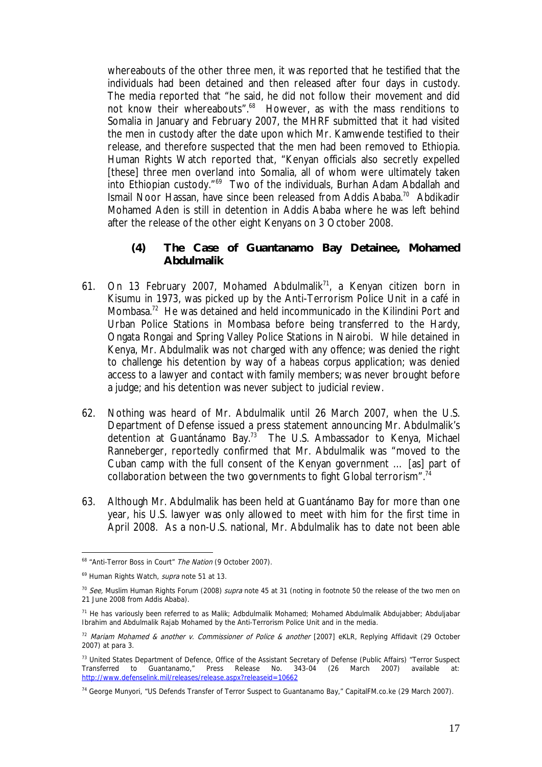whereabouts of the other three men, it was reported that he testified that the individuals had been detained and then released after four days in custody. The media reported that "he said, he did not follow their movement and did not know their whereabouts".<sup>68</sup> However, as with the mass renditions to Somalia in January and February 2007, the MHRF submitted that it had visited the men in custody after the date upon which Mr. Kamwende testified to their release, and therefore suspected that the men had been removed to Ethiopia. Human Rights Watch reported that, "Kenyan officials also secretly expelled [these] three men overland into Somalia, all of whom were ultimately taken into Ethiopian custody."<sup>69</sup> Two of the individuals, Burhan Adam Abdallah and Ismail Noor Hassan, have since been released from Addis Ababa.70 Abdikadir Mohamed Aden is still in detention in Addis Ababa where he was left behind after the release of the other eight Kenyans on 3 October 2008.

- **(4) The Case of Guantanamo Bay Detainee, Mohamed Abdulmalik**
- 61. On 13 February 2007, Mohamed Abdulmalik<sup>71</sup>, a Kenyan citizen born in Kisumu in 1973, was picked up by the Anti-Terrorism Police Unit in a café in Mombasa.72 He was detained and held incommunicado in the Kilindini Port and Urban Police Stations in Mombasa before being transferred to the Hardy, Ongata Rongai and Spring Valley Police Stations in Nairobi. While detained in Kenya, Mr. Abdulmalik was not charged with any offence; was denied the right to challenge his detention by way of a *habeas corpus* application; was denied access to a lawyer and contact with family members; was never brought before a judge; and his detention was never subject to judicial review.
- 62. Nothing was heard of Mr. Abdulmalik until 26 March 2007, when the U.S. Department of Defense issued a press statement announcing Mr. Abdulmalik's detention at Guantánamo Bay.<sup>73</sup> The U.S. Ambassador to Kenya, Michael Ranneberger, reportedly confirmed that Mr. Abdulmalik was "moved to the Cuban camp with the full consent of the Kenyan government … [as] part of collaboration between the two governments to fight Global terrorism".<sup>74</sup>
- 63. Although Mr. Abdulmalik has been held at Guantánamo Bay for more than one year, his U.S. lawyer was only allowed to meet with him for the first time in April 2008. As a non-U.S. national, Mr. Abdulmalik has to date not been able

<sup>&</sup>lt;sup>68</sup> "Anti-Terror Boss in Court" The Nation (9 October 2007).

<sup>&</sup>lt;sup>69</sup> Human Rights Watch, *supra* note 51 at 13.

 $70$  See, Muslim Human Rights Forum (2008) supra note 45 at 31 (noting in footnote 50 the release of the two men on 21 June 2008 from Addis Ababa).

<sup>71</sup> He has variously been referred to as Malik; Adbdulmalik Mohamed; Mohamed Abdulmalik Abdujabber; Abduljabar Ibrahim and Abdulmalik Rajab Mohamed by the Anti-Terrorism Police Unit and in the media.

 $72$  Mariam Mohamed & another v. Commissioner of Police & another [2007] eKLR, Replying Affidavit (29 October 2007) at para 3.

<sup>73</sup> United States Department of Defence, Office of the Assistant Secretary of Defense (Public Affairs) "Terror Suspect Transferred to Guantanamo," Press Release No. 343-04 (26 March 2007) available at: http://www.defenselink.mil/releases/release.aspx?releaseid=10662

<sup>74</sup> George Munyori, "US Defends Transfer of Terror Suspect to Guantanamo Bay," CapitalFM.co.ke (29 March 2007).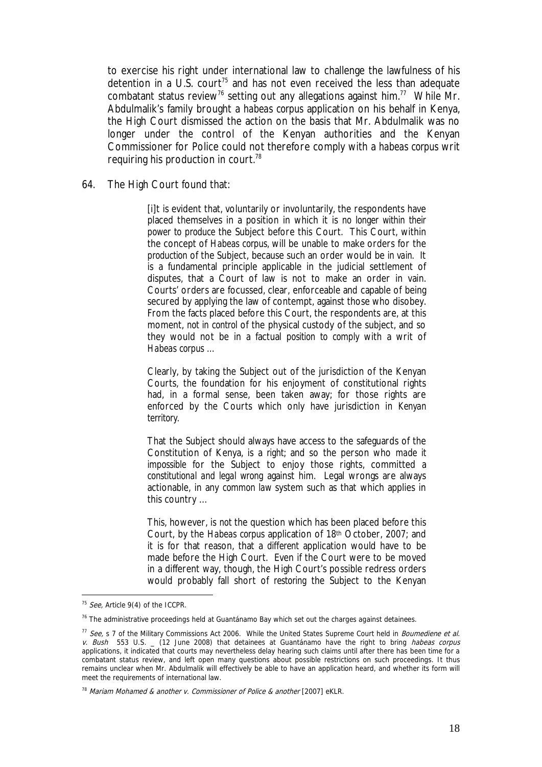to exercise his right under international law to challenge the lawfulness of his detention in a U.S. court<sup>75</sup> and has not even received the less than adequate combatant status review<sup>76</sup> setting out any allegations against him.<sup>77</sup> While Mr. Abdulmalik's family brought a *habeas corpus* application on his behalf in Kenya, the High Court dismissed the action on the basis that Mr. Abdulmalik was no longer under the control of the Kenyan authorities and the Kenyan Commissioner for Police could not therefore comply with a *habeas corpus* writ requiring his production in court.78

64. The High Court found that:

[i]t is evident that, voluntarily or involuntarily, the respondents have placed themselves in a position in which it is *no longer within their power to produce* the Subject before this Court. This Court, within the concept of *Habeas corpus,* will be unable to make orders for the *production* of the Subject, because such an order would be *in vain.* It is a fundamental principle applicable in the judicial settlement of disputes, that a Court of law is not to make an order in vain. Courts' orders are focussed, clear, enforceable and capable of being secured by applying the law of contempt, against those who disobey. From the facts placed before this Court, the respondents are, at this moment, *not in control* of the physical custody of the subject, and so they would not be in a factual *position to comply* with a writ of *Habeas corpus …*

Clearly, by taking the Subject out of the jurisdiction of the Kenyan Courts, the foundation for his enjoyment of constitutional rights had, in a formal sense, been taken away; for those rights are enforced by the Courts which only have jurisdiction in *Kenyan territory.*

That the Subject should always have access to the safeguards of the Constitution of Kenya, is a *right*; and so the person who *made it impossible* for the Subject to enjoy those rights, committed a *constitutional and legal wrong* against him. Legal wrongs are always actionable, in any *common law* system such as that which applies in this country …

This, however, is *not* the question which has been placed before this Court, by the *Habeas corpus* application of 18th October, 2007; and it is for that reason, that a *different* application would have to be made before the High Court. Even if the Court were to be moved in a different way, though, the High Court's possible redress orders would probably fall short of *restoring* the Subject to the Kenyan

1

<sup>&</sup>lt;sup>75</sup> See, Article 9(4) of the ICCPR.

 $76$  The administrative proceedings held at Guantánamo Bay which set out the charges against detainees.

 $77$  See, s 7 of the Military Commissions Act 2006. While the United States Supreme Court held in Bournediene et al. v. Bush 553 U.S. \_ (12 June 2008) that detainees at Guantánamo have the right to bring habeas corpus applications, it indicated that courts may nevertheless delay hearing such claims until after there has been time for a combatant status review, and left open many questions about possible restrictions on such proceedings. It thus remains unclear when Mr. Abdulmalik will effectively be able to have an application heard, and whether its form will meet the requirements of international law.

 $78$  Mariam Mohamed & another v. Commissioner of Police & another [2007] eKLR.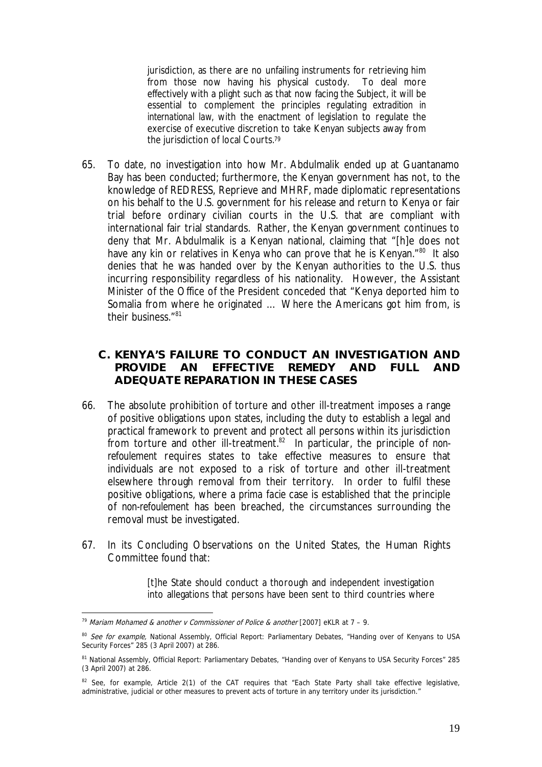jurisdiction, as there are no unfailing instruments for retrieving him from those now having his physical custody. To deal more effectively with a plight such as that now facing the Subject, it will be essential to complement the principles regulating *extradition in international law,* with the enactment of legislation to regulate the exercise of executive discretion to take Kenyan subjects away from the jurisdiction of local Courts.<sup>79</sup>

- 65. To date, no investigation into how Mr. Abdulmalik ended up at Guantanamo Bay has been conducted; furthermore, the Kenyan government has not, to the knowledge of REDRESS, Reprieve and MHRF, made diplomatic representations on his behalf to the U.S. government for his release and return to Kenya or fair trial before ordinary civilian courts in the U.S. that are compliant with international fair trial standards. Rather, the Kenyan government continues to deny that Mr. Abdulmalik is a Kenyan national, claiming that "[h]e does not have any kin or relatives in Kenya who can prove that he is Kenyan."<sup>80</sup> It also denies that he was handed over by the Kenyan authorities to the U.S. thus incurring responsibility regardless of his nationality. However, the Assistant Minister of the Office of the President conceded that "Kenya deported him to Somalia from where he originated … Where the Americans got him from, is their business<sup>"81</sup>
	- **C. KENYA'S FAILURE TO CONDUCT AN INVESTIGATION AND PROVIDE AN EFFECTIVE REMEDY AND FULL AND ADEQUATE REPARATION IN THESE CASES**
- 66. The absolute prohibition of torture and other ill-treatment imposes a range of positive obligations upon states, including the duty to establish a legal and practical framework to prevent and protect all persons within its jurisdiction from torture and other ill-treatment.82 In particular, the principle of *nonrefoulement* requires states to take effective measures to ensure that individuals are not exposed to a risk of torture and other ill-treatment elsewhere through removal from their territory. In order to fulfil these positive obligations, where a *prima facie* case is established that the principle of *non-refoulement* has been breached, the circumstances surrounding the removal must be investigated.
- 67. In its Concluding Observations on the United States, the Human Rights Committee found that:

[t]he State should conduct a thorough and independent investigation into allegations that persons have been sent to third countries where

<sup>&</sup>lt;u>.</u> <sup>79</sup> Mariam Mohamed & another v Commissioner of Police & another [2007] eKLR at  $7 - 9$ .

<sup>&</sup>lt;sup>80</sup> See for example, National Assembly, Official Report: Parliamentary Debates, "Handing over of Kenyans to USA Security Forces" 285 (3 April 2007) at 286.

<sup>81</sup> National Assembly, Official Report: Parliamentary Debates, "Handing over of Kenyans to USA Security Forces" 285 (3 April 2007) at 286.

<sup>82</sup> See, for example, Article 2(1) of the CAT requires that "Each State Party shall take effective legislative, administrative, judicial or other measures to prevent acts of torture in any territory under its jurisdiction."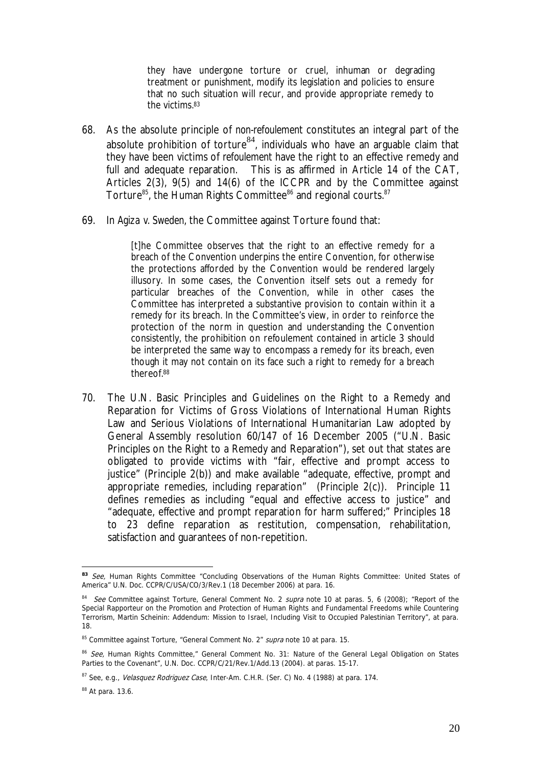they have undergone torture or cruel, inhuman or degrading treatment or punishment, modify its legislation and policies to ensure that no such situation will recur, and provide appropriate remedy to the victims.83

- 68. As the absolute principle of *non-refoulement* constitutes an integral part of the absolute prohibition of torture<sup>84</sup>, individuals who have an arguable claim that they have been victims of *refoulement* have the right to an effective remedy and full and adequate reparation. This is as affirmed in Article 14 of the CAT, Articles 2(3), 9(5) and 14(6) of the ICCPR and by the Committee against Torture $^{85}$ , the Human Rights Committee $^{86}$  and regional courts.  $^{87}$
- 69. In *Agiza v. Sweden,* the Committee against Torture found that:

[t]he Committee observes that the right to an effective remedy for a breach of the Convention underpins the entire Convention, for otherwise the protections afforded by the Convention would be rendered largely illusory. In some cases, the Convention itself sets out a remedy for particular breaches of the Convention, while in other cases the Committee has interpreted a substantive provision to contain within it a remedy for its breach. In the Committee's view, in order to reinforce the protection of the norm in question and understanding the Convention consistently, the prohibition on refoulement contained in article 3 should be interpreted the same way to encompass a remedy for its breach, even though it may not contain on its face such a right to remedy for a breach thereof.88

70. The U.N. Basic Principles and Guidelines on the Right to a Remedy and Reparation for Victims of Gross Violations of International Human Rights Law and Serious Violations of International Humanitarian Law adopted by General Assembly resolution 60/147 of 16 December 2005 ("U.N. Basic Principles on the Right to a Remedy and Reparation"), set out that states are obligated to provide victims with "fair, effective and prompt access to justice" (Principle 2(b)) and make available "adequate, effective, prompt and appropriate remedies, including reparation" (Principle 2(c)). Principle 11 defines remedies as including "equal and effective access to justice" and "adequate, effective and prompt reparation for harm suffered;" Principles 18 to 23 define reparation as restitution, compensation, rehabilitation, satisfaction and guarantees of non-repetition.

1

<sup>83</sup> See, Human Rights Committee "Concluding Observations of the Human Rights Committee: United States of America" U.N. Doc. CCPR/C/USA/CO/3/Rev.1 (18 December 2006) at para. 16.

<sup>84</sup> See Committee against Torture, General Comment No. 2 supra note 10 at paras. 5, 6 (2008); "Report of the Special Rapporteur on the Promotion and Protection of Human Rights and Fundamental Freedoms while Countering Terrorism, Martin Scheinin: Addendum: Mission to Israel, Including Visit to Occupied Palestinian Territory", at para. 18.

<sup>85</sup> Committee against Torture, "General Comment No. 2" supra note 10 at para. 15.

<sup>86</sup> See, Human Rights Committee," General Comment No. 31: Nature of the General Legal Obligation on States Parties to the Covenant", U.N. Doc. CCPR/C/21/Rev.1/Add.13 (2004). at paras. 15-17.

 $87$  See, e.g., *Velasquez Rodriguez Case*, Inter-Am. C.H.R. (Ser. C) No. 4 (1988) at para. 174.

<sup>88</sup> At para. 13.6.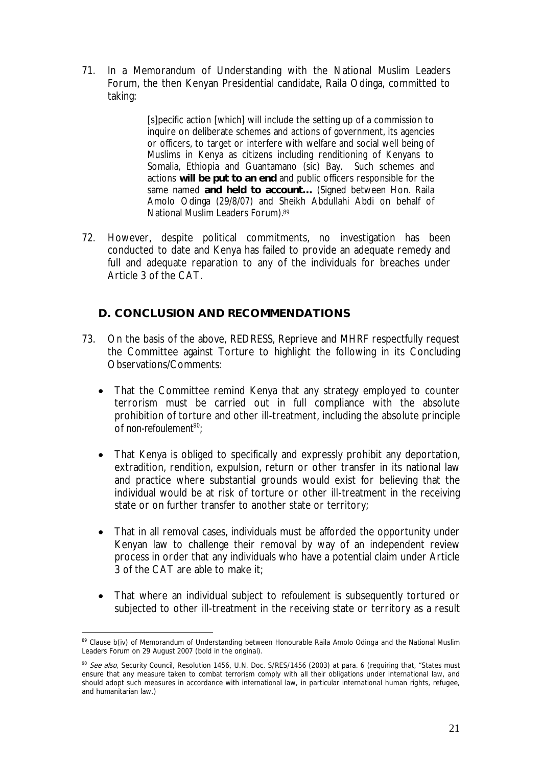71. In a Memorandum of Understanding with the National Muslim Leaders Forum, the then Kenyan Presidential candidate, Raila Odinga, committed to taking:

> [s]pecific action [which] will include the setting up of a commission to inquire on deliberate schemes and actions of government, its agencies or officers, to target or interfere with welfare and social well being of Muslims in Kenya as citizens including renditioning of Kenyans to Somalia, Ethiopia and Guantamano (sic) Bay. Such schemes and actions **will be put to an end** and public officers responsible for the same named **and held to account…** (Signed between Hon. Raila Amolo Odinga (29/8/07) and Sheikh Abdullahi Abdi on behalf of National Muslim Leaders Forum).89

72. However, despite political commitments, no investigation has been conducted to date and Kenya has failed to provide an adequate remedy and full and adequate reparation to any of the individuals for breaches under Article 3 of the CAT.

### **D. CONCLUSION AND RECOMMENDATIONS**

- 73. On the basis of the above, REDRESS, Reprieve and MHRF respectfully request the Committee against Torture to highlight the following in its Concluding Observations/Comments:
	- That the Committee remind Kenya that any strategy employed to counter terrorism must be carried out in full compliance with the absolute prohibition of torture and other ill-treatment, including the absolute principle of non-refoulement<sup>90</sup>;
	- That Kenya is obliged to specifically and expressly prohibit any deportation, extradition, rendition, expulsion, return or other transfer in its national law and practice where substantial grounds would exist for believing that the individual would be at risk of torture or other ill-treatment in the receiving state or on further transfer to another state or territory;
	- That in all removal cases, individuals must be afforded the opportunity under Kenyan law to challenge their removal by way of an independent review process in order that any individuals who have a potential claim under Article 3 of the CAT are able to make it;
	- That where an individual subject to *refoulement* is subsequently tortured or subjected to other ill-treatment in the receiving state or territory as a result

<sup>1</sup> 89 Clause b(iv) of Memorandum of Understanding between Honourable Raila Amolo Odinga and the National Muslim Leaders Forum on 29 August 2007 (bold in the original).

<sup>&</sup>lt;sup>90</sup> See also, Security Council, Resolution 1456, U.N. Doc. S/RES/1456 (2003) at para. 6 (requiring that, "States must ensure that any measure taken to combat terrorism comply with all their obligations under international law, and should adopt such measures in accordance with international law, in particular international human rights, refugee, and humanitarian law.)